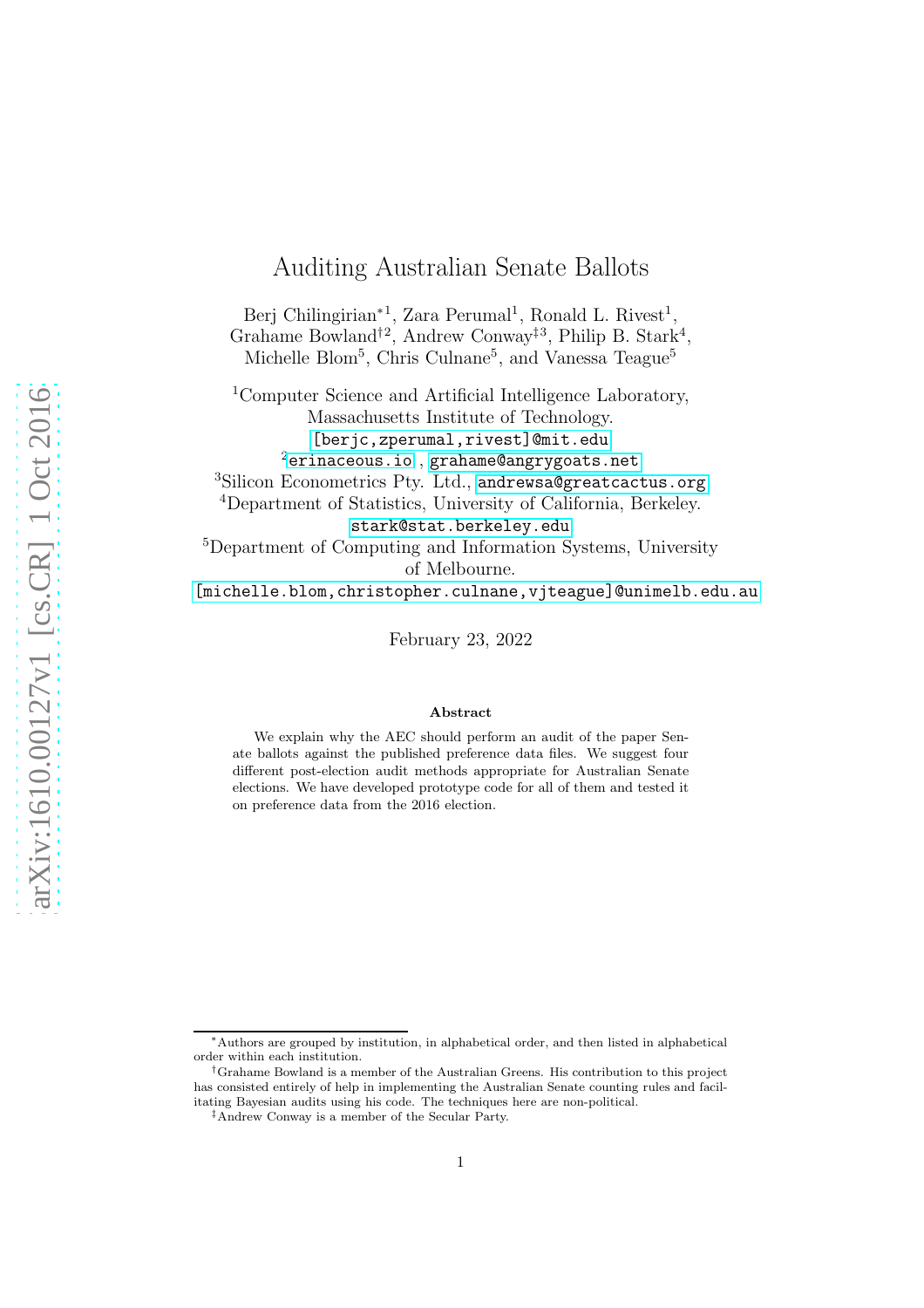# Auditing Australian Senate Ballots

Berj Chilingirian<sup>\*1</sup>, Zara Perumal<sup>1</sup>, Ronald L. Rivest<sup>1</sup>, Grahame Bowland<sup>†2</sup>, Andrew Conway<sup>‡3</sup>, Philip B. Stark<sup>4</sup>, Michelle Blom<sup>5</sup>, Chris Culnane<sup>5</sup>, and Vanessa Teague<sup>5</sup>

<sup>1</sup>Computer Science and Artificial Intelligence Laboratory, Massachusetts Institute of Technology. [\[berjc,zperumal,rivest\]@mit.edu]([berjc, zperumal, rivest]@mit.edu)  $2$ <erinaceous.io>, <grahame@angrygoats.net>

<sup>3</sup>Silicon Econometrics Pty. Ltd., <andrewsa@greatcactus.org>

<sup>4</sup>Department of Statistics, University of California, Berkeley.

<stark@stat.berkeley.edu>

<sup>5</sup>Department of Computing and Information Systems, University of Melbourne.

[\[michelle.blom,christopher.culnane,vjteague\]@unimelb.edu.au]([michelle.blom, christopher.culnane, vjteague]@unimelb.edu.au)

February 23, 2022

#### Abstract

We explain why the AEC should perform an audit of the paper Senate ballots against the published preference data files. We suggest four different post-election audit methods appropriate for Australian Senate elections. We have developed prototype code for all of them and tested it on preference data from the 2016 election.

<sup>∗</sup>Authors are grouped by institution, in alphabetical order, and then listed in alphabetical order within each institution.

<sup>†</sup>Grahame Bowland is a member of the Australian Greens. His contribution to this project has consisted entirely of help in implementing the Australian Senate counting rules and facilitating Bayesian audits using his code. The techniques here are non-political.

<sup>‡</sup>Andrew Conway is a member of the Secular Party.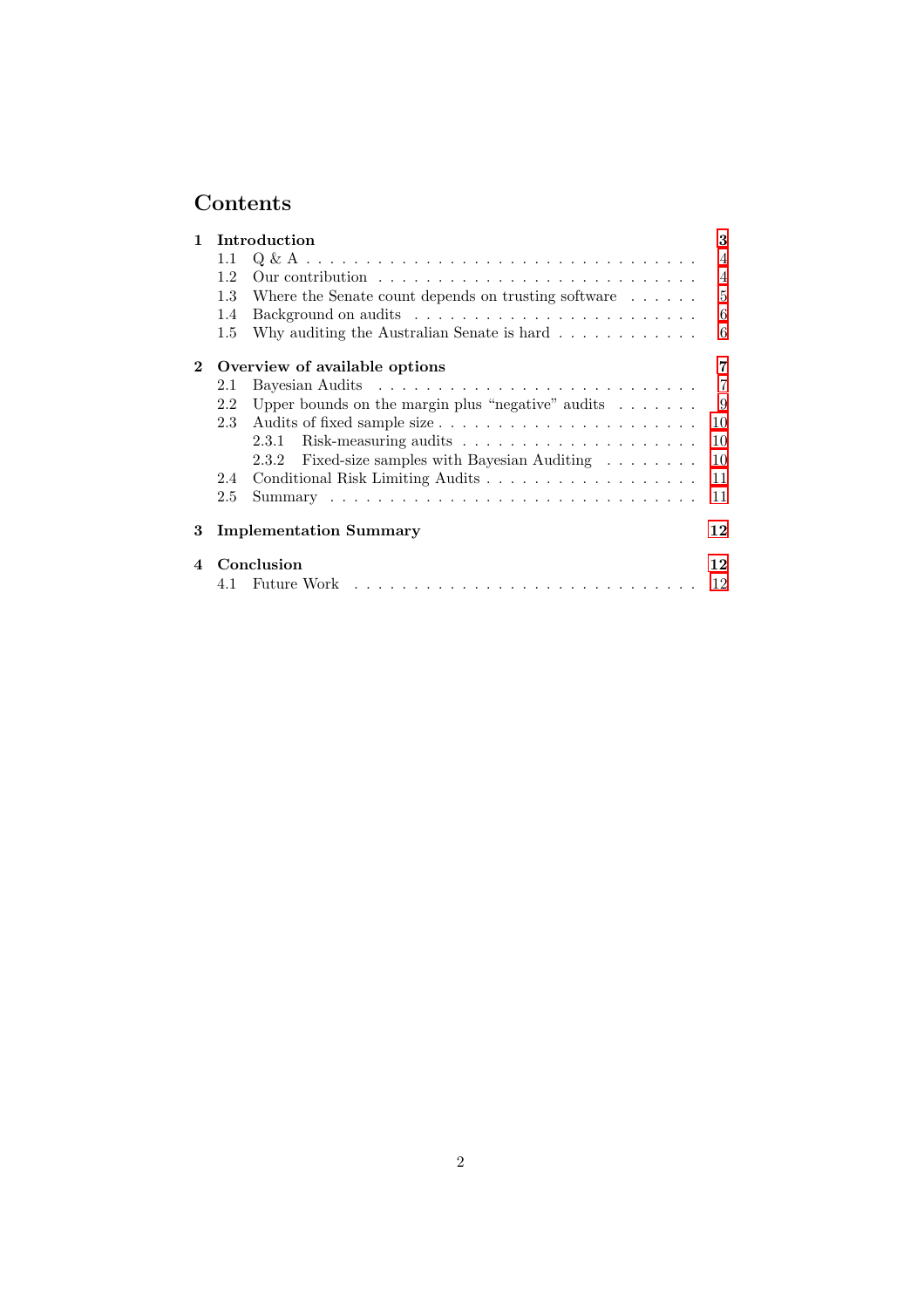# Contents

| $\mathbf{1}$ | Introduction                  |                                                                                   |                |
|--------------|-------------------------------|-----------------------------------------------------------------------------------|----------------|
|              | 1.1                           |                                                                                   | $\overline{4}$ |
|              | 1.2                           | Our contribution $\ldots \ldots \ldots \ldots \ldots \ldots \ldots \ldots \ldots$ | $\overline{4}$ |
|              | 1.3                           | Where the Senate count depends on trusting software $\dots \dots$                 | 5              |
|              | 1.4                           |                                                                                   | 6              |
|              | $1.5\,$                       | Why auditing the Australian Senate is hard $\dots \dots \dots$                    | 6              |
| $2^{\circ}$  | Overview of available options |                                                                                   |                |
|              | 2.1                           |                                                                                   | $\overline{7}$ |
|              | 2.2                           | Upper bounds on the margin plus "negative" audits $\dots \dots$                   | - 9            |
|              | 2.3                           |                                                                                   | 10             |
|              |                               |                                                                                   | 10             |
|              |                               | 2.3.2 Fixed-size samples with Bayesian Auditing                                   | 10             |
|              | 2.4                           |                                                                                   | 11             |
|              | 2.5                           |                                                                                   | 11             |
| 3            |                               | <b>Implementation Summary</b><br>12                                               |                |
| $\mathbf 4$  | Conclusion                    |                                                                                   |                |
|              |                               |                                                                                   | 12             |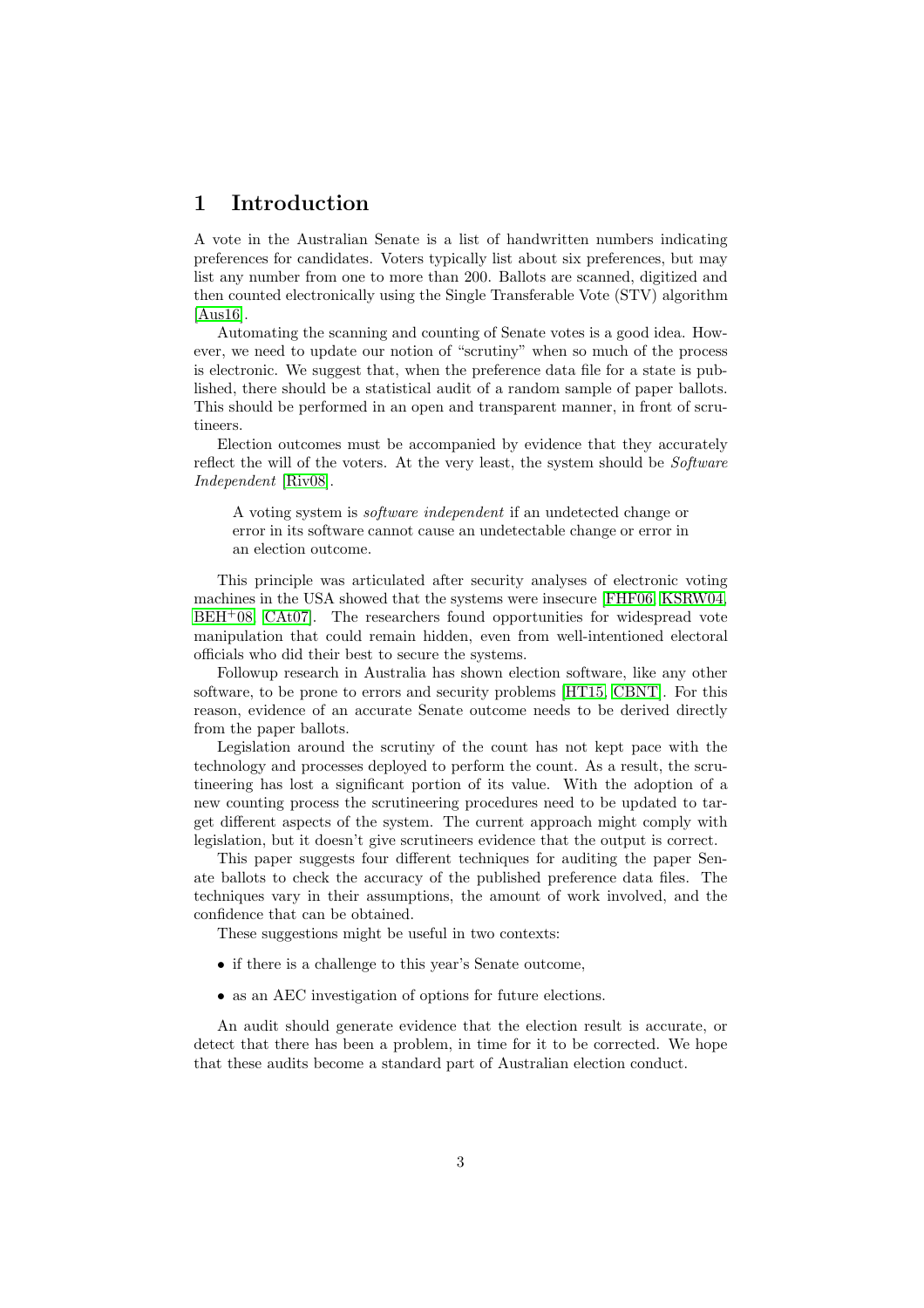# <span id="page-2-0"></span>1 Introduction

A vote in the Australian Senate is a list of handwritten numbers indicating preferences for candidates. Voters typically list about six preferences, but may list any number from one to more than 200. Ballots are scanned, digitized and then counted electronically using the Single Transferable Vote (STV) algorithm [\[Aus16\]](#page-12-0).

Automating the scanning and counting of Senate votes is a good idea. However, we need to update our notion of "scrutiny" when so much of the process is electronic. We suggest that, when the preference data file for a state is published, there should be a statistical audit of a random sample of paper ballots. This should be performed in an open and transparent manner, in front of scrutineers.

Election outcomes must be accompanied by evidence that they accurately reflect the will of the voters. At the very least, the system should be *Software Independent* [\[Riv08\]](#page-12-1).

A voting system is *software independent* if an undetected change or error in its software cannot cause an undetectable change or error in an election outcome.

This principle was articulated after security analyses of electronic voting machines in the USA showed that the systems were insecure [\[FHF06,](#page-12-2) [KSRW04,](#page-12-3)  $BEH<sup>+</sup>08$  $BEH<sup>+</sup>08$ ,  $CAt07$ . The researchers found opportunities for widespread vote manipulation that could remain hidden, even from well-intentioned electoral officials who did their best to secure the systems.

Followup research in Australia has shown election software, like any other software, to be prone to errors and security problems [\[HT15,](#page-12-6) [CBNT\]](#page-12-7). For this reason, evidence of an accurate Senate outcome needs to be derived directly from the paper ballots.

Legislation around the scrutiny of the count has not kept pace with the technology and processes deployed to perform the count. As a result, the scrutineering has lost a significant portion of its value. With the adoption of a new counting process the scrutineering procedures need to be updated to target different aspects of the system. The current approach might comply with legislation, but it doesn't give scrutineers evidence that the output is correct.

This paper suggests four different techniques for auditing the paper Senate ballots to check the accuracy of the published preference data files. The techniques vary in their assumptions, the amount of work involved, and the confidence that can be obtained.

These suggestions might be useful in two contexts:

- if there is a challenge to this year's Senate outcome,
- as an AEC investigation of options for future elections.

An audit should generate evidence that the election result is accurate, or detect that there has been a problem, in time for it to be corrected. We hope that these audits become a standard part of Australian election conduct.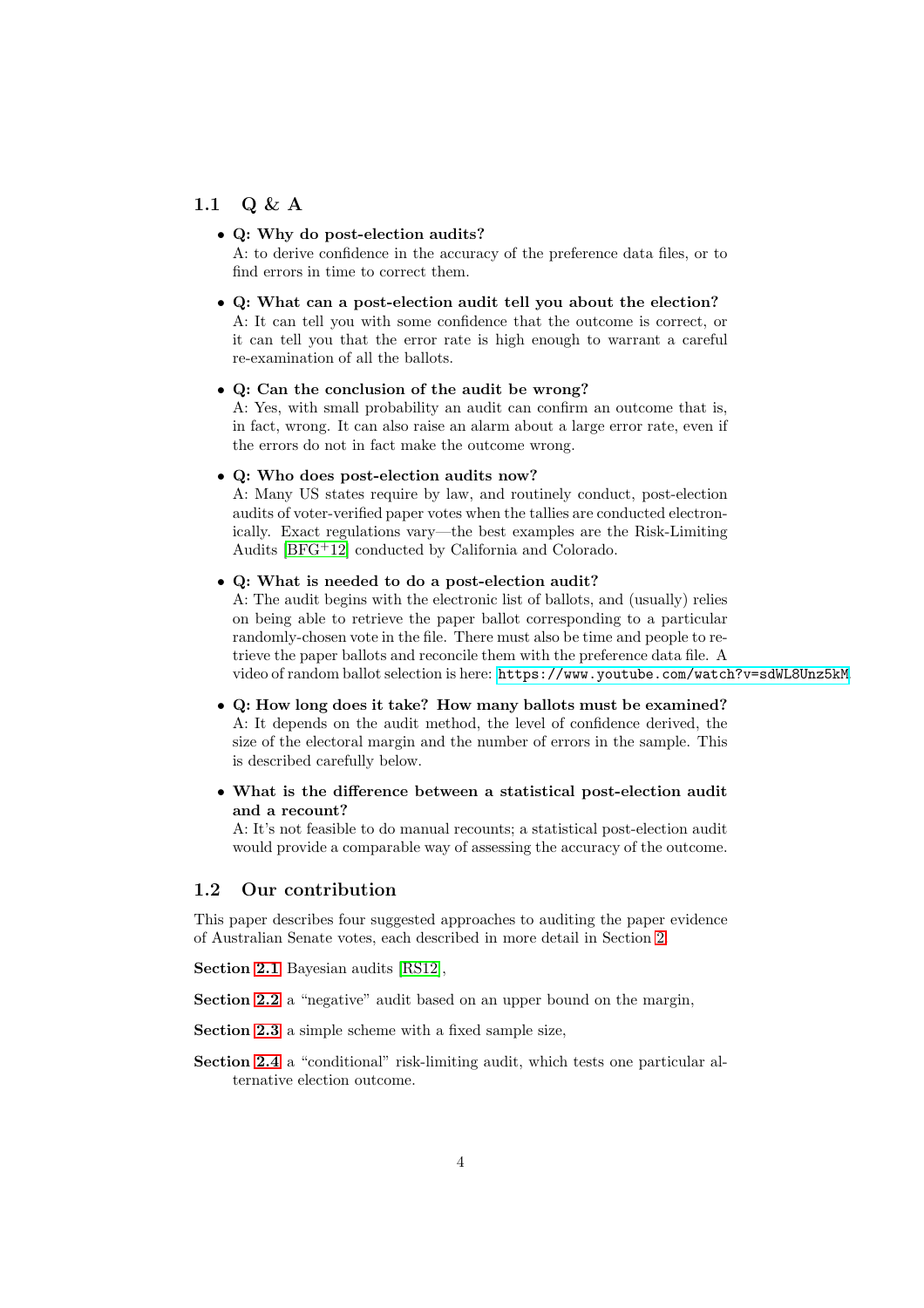## <span id="page-3-0"></span>1.1 Q & A

### • Q: Why do post-election audits?

A: to derive confidence in the accuracy of the preference data files, or to find errors in time to correct them.

### • Q: What can a post-election audit tell you about the election? A: It can tell you with some confidence that the outcome is correct, or it can tell you that the error rate is high enough to warrant a careful re-examination of all the ballots.

#### • Q: Can the conclusion of the audit be wrong?

A: Yes, with small probability an audit can confirm an outcome that is, in fact, wrong. It can also raise an alarm about a large error rate, even if the errors do not in fact make the outcome wrong.

#### • Q: Who does post-election audits now?

A: Many US states require by law, and routinely conduct, post-election audits of voter-verified paper votes when the tallies are conducted electronically. Exact regulations vary—the best examples are the Risk-Limiting Audits [\[BFG](#page-12-8)<sup>+</sup>12] conducted by California and Colorado.

#### • Q: What is needed to do a post-election audit?

A: The audit begins with the electronic list of ballots, and (usually) relies on being able to retrieve the paper ballot corresponding to a particular randomly-chosen vote in the file. There must also be time and people to retrieve the paper ballots and reconcile them with the preference data file. A video of random ballot selection is here: <https://www.youtube.com/watch?v=sdWL8Unz5kM>.

- Q: How long does it take? How many ballots must be examined? A: It depends on the audit method, the level of confidence derived, the size of the electoral margin and the number of errors in the sample. This is described carefully below.
- What is the difference between a statistical post-election audit and a recount?

A: It's not feasible to do manual recounts; a statistical post-election audit would provide a comparable way of assessing the accuracy of the outcome.

### <span id="page-3-1"></span>1.2 Our contribution

This paper describes four suggested approaches to auditing the paper evidence of Australian Senate votes, each described in more detail in Section [2.](#page-6-0)

Section [2.1](#page-6-1) Bayesian audits [\[RS12\]](#page-12-9),

Section [2.2](#page-8-0) a "negative" audit based on an upper bound on the margin,

Section [2.3](#page-9-0) a simple scheme with a fixed sample size.

Section [2.4](#page-10-0) a "conditional" risk-limiting audit, which tests one particular alternative election outcome.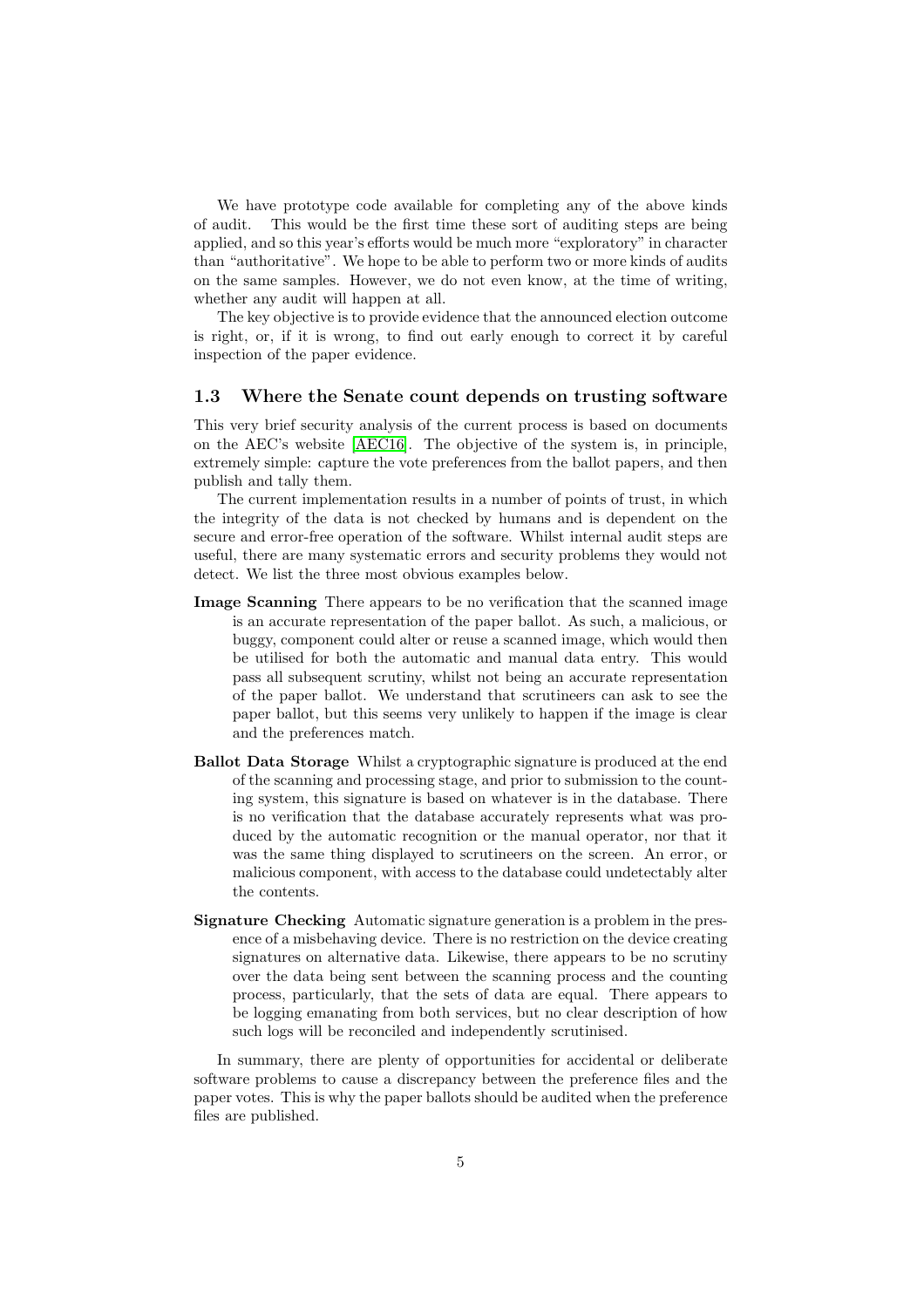We have prototype code available for completing any of the above kinds of audit. This would be the first time these sort of auditing steps are being applied, and so this year's efforts would be much more "exploratory" in character than "authoritative". We hope to be able to perform two or more kinds of audits on the same samples. However, we do not even know, at the time of writing, whether any audit will happen at all.

The key objective is to provide evidence that the announced election outcome is right, or, if it is wrong, to find out early enough to correct it by careful inspection of the paper evidence.

#### <span id="page-4-0"></span>1.3 Where the Senate count depends on trusting software

This very brief security analysis of the current process is based on documents on the AEC's website [\[AEC16\]](#page-12-10). The objective of the system is, in principle, extremely simple: capture the vote preferences from the ballot papers, and then publish and tally them.

The current implementation results in a number of points of trust, in which the integrity of the data is not checked by humans and is dependent on the secure and error-free operation of the software. Whilst internal audit steps are useful, there are many systematic errors and security problems they would not detect. We list the three most obvious examples below.

- Image Scanning There appears to be no verification that the scanned image is an accurate representation of the paper ballot. As such, a malicious, or buggy, component could alter or reuse a scanned image, which would then be utilised for both the automatic and manual data entry. This would pass all subsequent scrutiny, whilst not being an accurate representation of the paper ballot. We understand that scrutineers can ask to see the paper ballot, but this seems very unlikely to happen if the image is clear and the preferences match.
- Ballot Data Storage Whilst a cryptographic signature is produced at the end of the scanning and processing stage, and prior to submission to the counting system, this signature is based on whatever is in the database. There is no verification that the database accurately represents what was produced by the automatic recognition or the manual operator, nor that it was the same thing displayed to scrutineers on the screen. An error, or malicious component, with access to the database could undetectably alter the contents.
- Signature Checking Automatic signature generation is a problem in the presence of a misbehaving device. There is no restriction on the device creating signatures on alternative data. Likewise, there appears to be no scrutiny over the data being sent between the scanning process and the counting process, particularly, that the sets of data are equal. There appears to be logging emanating from both services, but no clear description of how such logs will be reconciled and independently scrutinised.

In summary, there are plenty of opportunities for accidental or deliberate software problems to cause a discrepancy between the preference files and the paper votes. This is why the paper ballots should be audited when the preference files are published.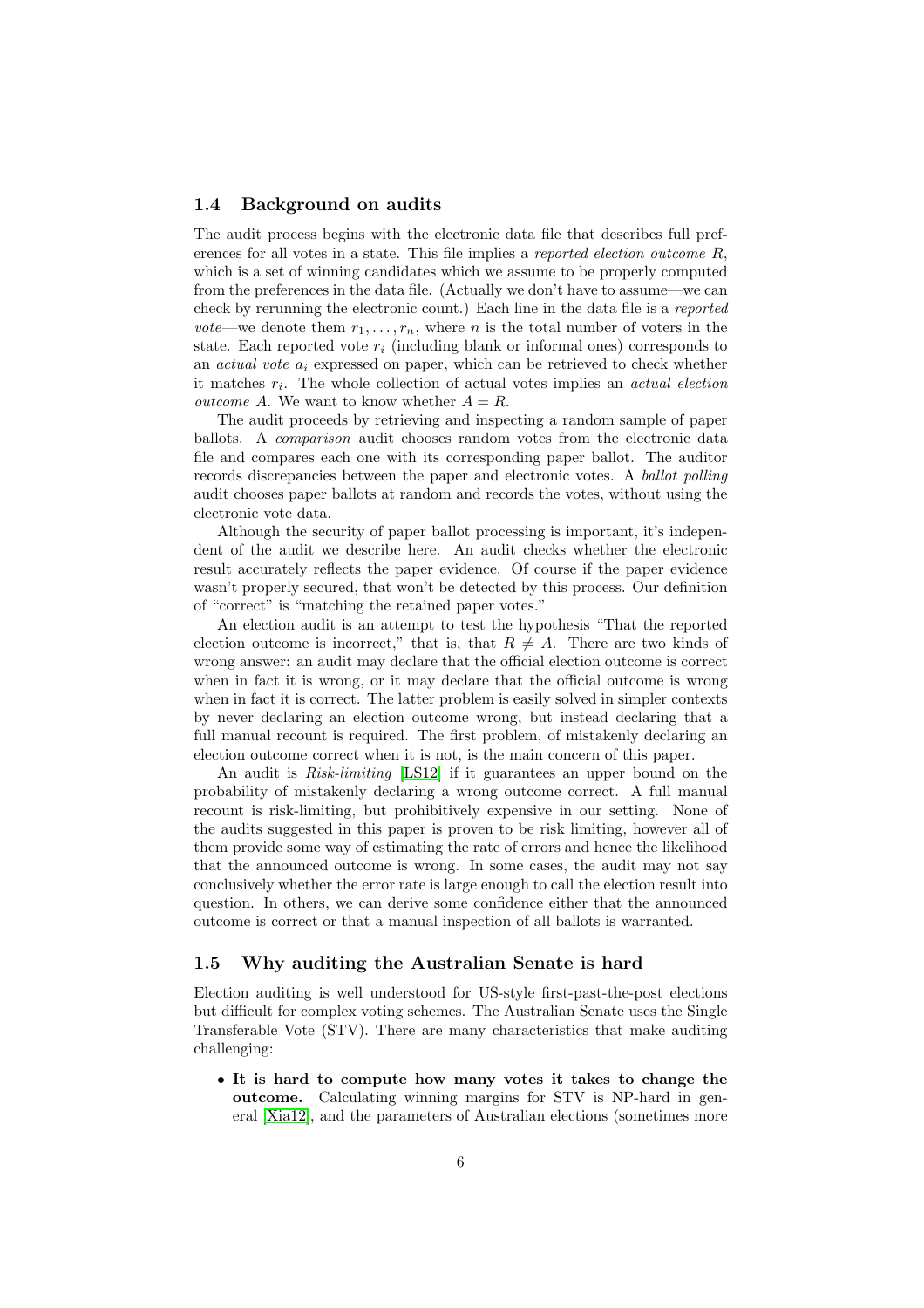### <span id="page-5-0"></span>1.4 Background on audits

The audit process begins with the electronic data file that describes full preferences for all votes in a state. This file implies a *reported election outcome* R, which is a set of winning candidates which we assume to be properly computed from the preferences in the data file. (Actually we don't have to assume—we can check by rerunning the electronic count.) Each line in the data file is a *reported vote*—we denote them  $r_1, \ldots, r_n$ , where *n* is the total number of voters in the state. Each reported vote  $r_i$  (including blank or informal ones) corresponds to an *actual vote*  $a_i$  expressed on paper, which can be retrieved to check whether it matches  $r_i$ . The whole collection of actual votes implies an *actual election outcome* A. We want to know whether  $A = R$ .

The audit proceeds by retrieving and inspecting a random sample of paper ballots. A *comparison* audit chooses random votes from the electronic data file and compares each one with its corresponding paper ballot. The auditor records discrepancies between the paper and electronic votes. A *ballot polling* audit chooses paper ballots at random and records the votes, without using the electronic vote data.

Although the security of paper ballot processing is important, it's independent of the audit we describe here. An audit checks whether the electronic result accurately reflects the paper evidence. Of course if the paper evidence wasn't properly secured, that won't be detected by this process. Our definition of "correct" is "matching the retained paper votes."

An election audit is an attempt to test the hypothesis "That the reported election outcome is incorrect," that is, that  $R \neq A$ . There are two kinds of wrong answer: an audit may declare that the official election outcome is correct when in fact it is wrong, or it may declare that the official outcome is wrong when in fact it is correct. The latter problem is easily solved in simpler contexts by never declaring an election outcome wrong, but instead declaring that a full manual recount is required. The first problem, of mistakenly declaring an election outcome correct when it is not, is the main concern of this paper.

An audit is *Risk-limiting* [\[LS12\]](#page-12-11) if it guarantees an upper bound on the probability of mistakenly declaring a wrong outcome correct. A full manual recount is risk-limiting, but prohibitively expensive in our setting. None of the audits suggested in this paper is proven to be risk limiting, however all of them provide some way of estimating the rate of errors and hence the likelihood that the announced outcome is wrong. In some cases, the audit may not say conclusively whether the error rate is large enough to call the election result into question. In others, we can derive some confidence either that the announced outcome is correct or that a manual inspection of all ballots is warranted.

### <span id="page-5-1"></span>1.5 Why auditing the Australian Senate is hard

Election auditing is well understood for US-style first-past-the-post elections but difficult for complex voting schemes. The Australian Senate uses the Single Transferable Vote (STV). There are many characteristics that make auditing challenging:

• It is hard to compute how many votes it takes to change the outcome. Calculating winning margins for STV is NP-hard in general [\[Xia12\]](#page-13-0), and the parameters of Australian elections (sometimes more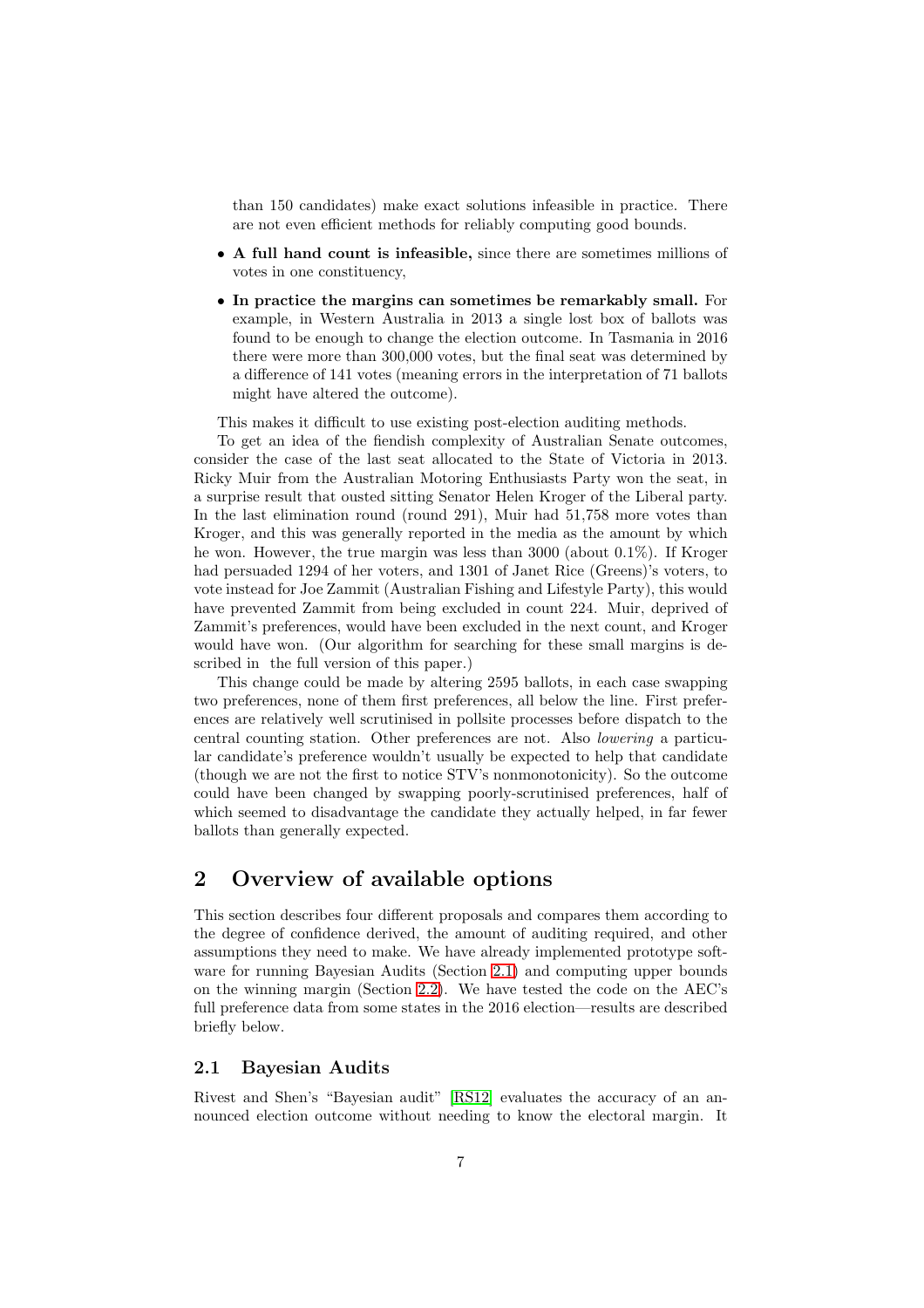than 150 candidates) make exact solutions infeasible in practice. There are not even efficient methods for reliably computing good bounds.

- A full hand count is infeasible, since there are sometimes millions of votes in one constituency,
- In practice the margins can sometimes be remarkably small. For example, in Western Australia in 2013 a single lost box of ballots was found to be enough to change the election outcome. In Tasmania in 2016 there were more than 300,000 votes, but the final seat was determined by a difference of 141 votes (meaning errors in the interpretation of 71 ballots might have altered the outcome).

This makes it difficult to use existing post-election auditing methods.

To get an idea of the fiendish complexity of Australian Senate outcomes, consider the case of the last seat allocated to the State of Victoria in 2013. Ricky Muir from the Australian Motoring Enthusiasts Party won the seat, in a surprise result that ousted sitting Senator Helen Kroger of the Liberal party. In the last elimination round (round 291), Muir had 51,758 more votes than Kroger, and this was generally reported in the media as the amount by which he won. However, the true margin was less than 3000 (about 0.1%). If Kroger had persuaded 1294 of her voters, and 1301 of Janet Rice (Greens)'s voters, to vote instead for Joe Zammit (Australian Fishing and Lifestyle Party), this would have prevented Zammit from being excluded in count 224. Muir, deprived of Zammit's preferences, would have been excluded in the next count, and Kroger would have won. (Our algorithm for searching for these small margins is described in the full version of this paper.)

This change could be made by altering 2595 ballots, in each case swapping two preferences, none of them first preferences, all below the line. First preferences are relatively well scrutinised in pollsite processes before dispatch to the central counting station. Other preferences are not. Also *lowering* a particular candidate's preference wouldn't usually be expected to help that candidate (though we are not the first to notice STV's nonmonotonicity). So the outcome could have been changed by swapping poorly-scrutinised preferences, half of which seemed to disadvantage the candidate they actually helped, in far fewer ballots than generally expected.

# <span id="page-6-0"></span>2 Overview of available options

This section describes four different proposals and compares them according to the degree of confidence derived, the amount of auditing required, and other assumptions they need to make. We have already implemented prototype software for running Bayesian Audits (Section [2.1\)](#page-6-1) and computing upper bounds on the winning margin (Section [2.2\)](#page-8-0). We have tested the code on the AEC's full preference data from some states in the 2016 election—results are described briefly below.

### <span id="page-6-1"></span>2.1 Bayesian Audits

Rivest and Shen's "Bayesian audit" [\[RS12\]](#page-12-9) evaluates the accuracy of an announced election outcome without needing to know the electoral margin. It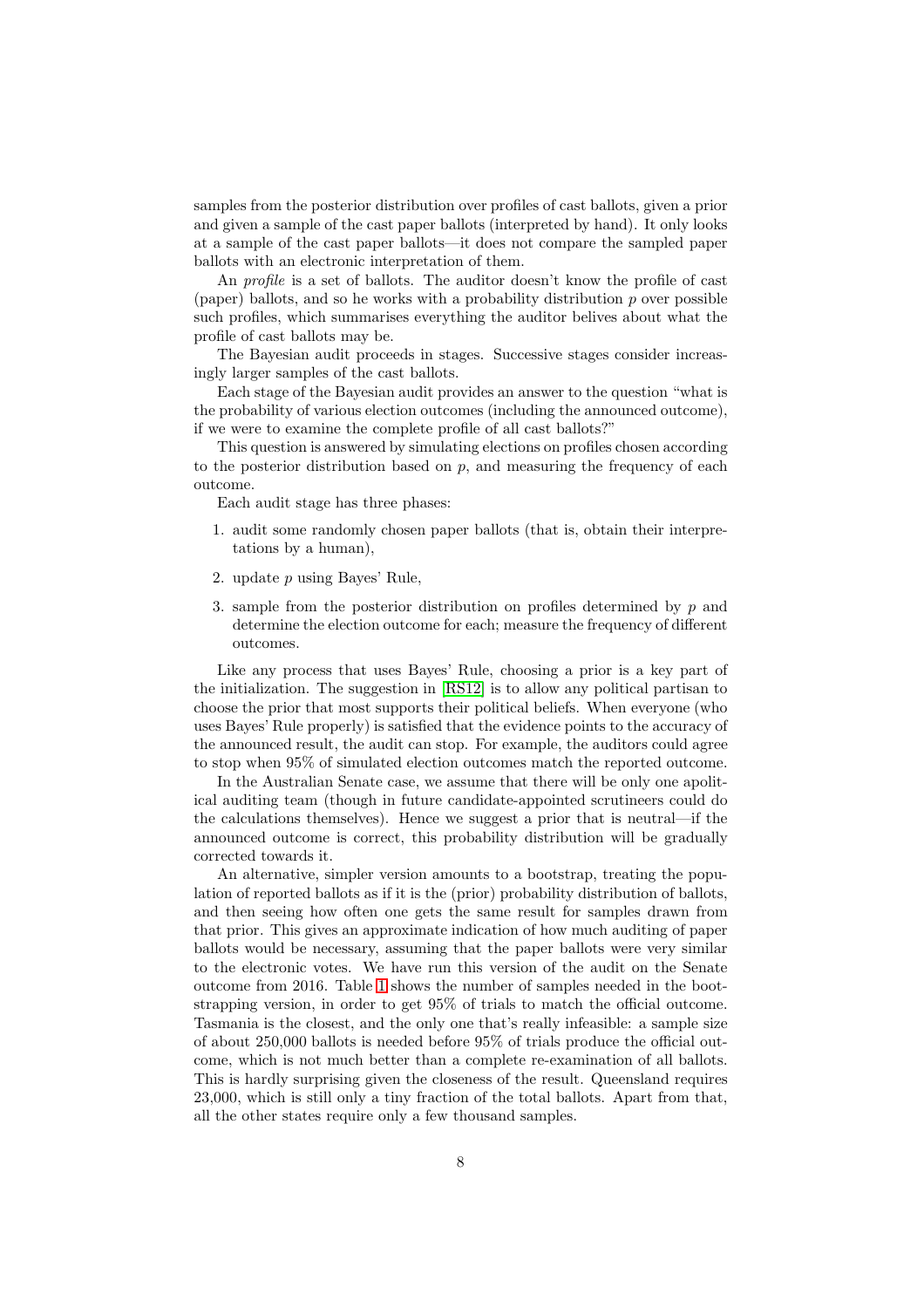samples from the posterior distribution over profiles of cast ballots, given a prior and given a sample of the cast paper ballots (interpreted by hand). It only looks at a sample of the cast paper ballots—it does not compare the sampled paper ballots with an electronic interpretation of them.

An *profile* is a set of ballots. The auditor doesn't know the profile of cast (paper) ballots, and so he works with a probability distribution  $p$  over possible such profiles, which summarises everything the auditor belives about what the profile of cast ballots may be.

The Bayesian audit proceeds in stages. Successive stages consider increasingly larger samples of the cast ballots.

Each stage of the Bayesian audit provides an answer to the question "what is the probability of various election outcomes (including the announced outcome), if we were to examine the complete profile of all cast ballots?"

This question is answered by simulating elections on profiles chosen according to the posterior distribution based on  $p$ , and measuring the frequency of each outcome.

Each audit stage has three phases:

- 1. audit some randomly chosen paper ballots (that is, obtain their interpretations by a human),
- 2. update p using Bayes' Rule,
- 3. sample from the posterior distribution on profiles determined by  $p$  and determine the election outcome for each; measure the frequency of different outcomes.

Like any process that uses Bayes' Rule, choosing a prior is a key part of the initialization. The suggestion in [\[RS12\]](#page-12-9) is to allow any political partisan to choose the prior that most supports their political beliefs. When everyone (who uses Bayes' Rule properly) is satisfied that the evidence points to the accuracy of the announced result, the audit can stop. For example, the auditors could agree to stop when 95% of simulated election outcomes match the reported outcome.

In the Australian Senate case, we assume that there will be only one apolitical auditing team (though in future candidate-appointed scrutineers could do the calculations themselves). Hence we suggest a prior that is neutral—if the announced outcome is correct, this probability distribution will be gradually corrected towards it.

An alternative, simpler version amounts to a bootstrap, treating the population of reported ballots as if it is the (prior) probability distribution of ballots, and then seeing how often one gets the same result for samples drawn from that prior. This gives an approximate indication of how much auditing of paper ballots would be necessary, assuming that the paper ballots were very similar to the electronic votes. We have run this version of the audit on the Senate outcome from 2016. Table [1](#page-8-1) shows the number of samples needed in the bootstrapping version, in order to get 95% of trials to match the official outcome. Tasmania is the closest, and the only one that's really infeasible: a sample size of about 250,000 ballots is needed before 95% of trials produce the official outcome, which is not much better than a complete re-examination of all ballots. This is hardly surprising given the closeness of the result. Queensland requires 23,000, which is still only a tiny fraction of the total ballots. Apart from that, all the other states require only a few thousand samples.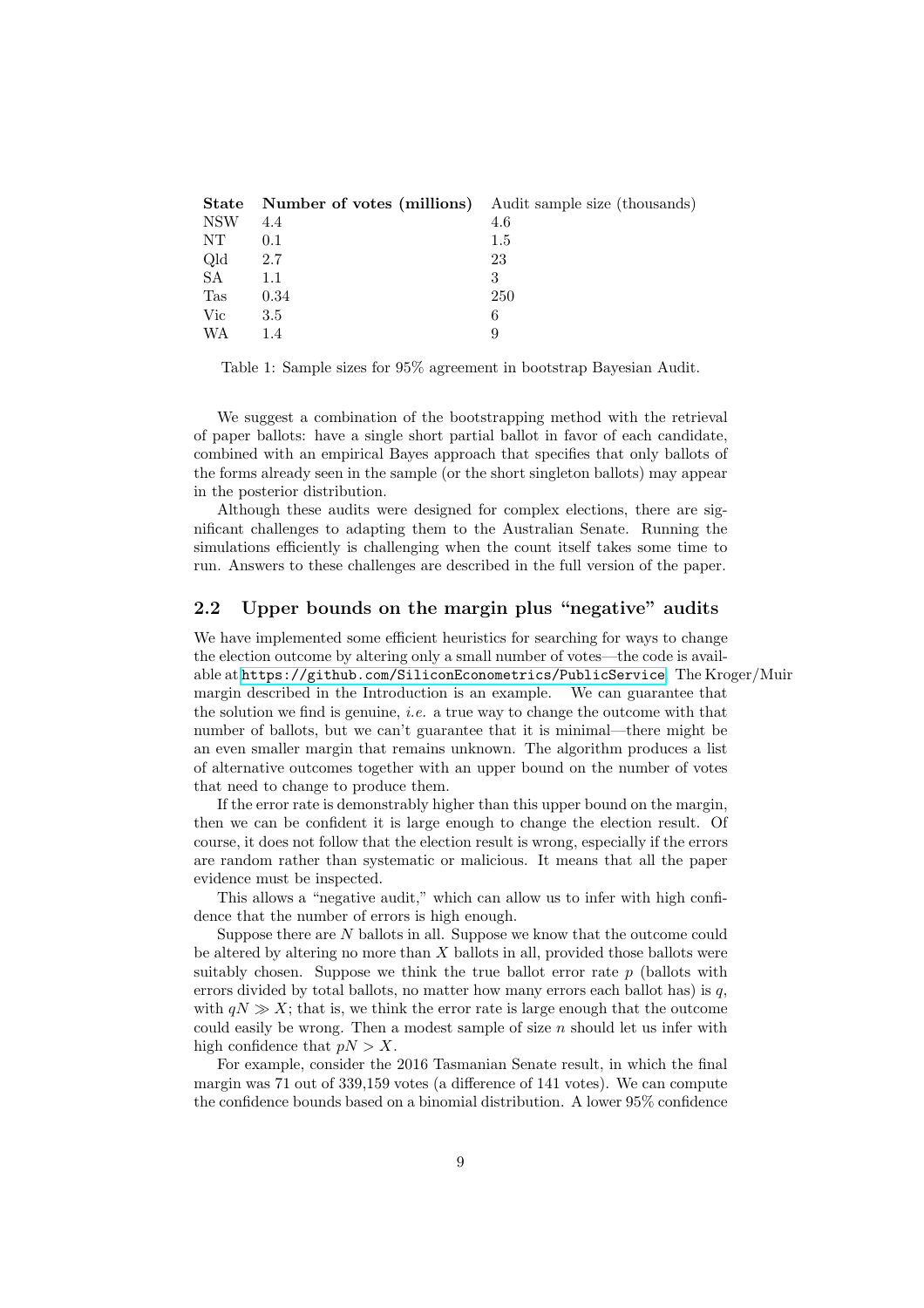| <b>Number of votes (millions)</b> Audit sample size (thousands) |     |
|-----------------------------------------------------------------|-----|
| 4.4                                                             | 4.6 |
| 0.1                                                             | 1.5 |
| 2.7                                                             | 23  |
| 1.1                                                             | 3   |
| 0.34                                                            | 250 |
| 3.5                                                             | 6   |
| 1.4                                                             | 9   |
|                                                                 |     |

<span id="page-8-1"></span>Table 1: Sample sizes for 95% agreement in bootstrap Bayesian Audit.

We suggest a combination of the bootstrapping method with the retrieval of paper ballots: have a single short partial ballot in favor of each candidate, combined with an empirical Bayes approach that specifies that only ballots of the forms already seen in the sample (or the short singleton ballots) may appear in the posterior distribution.

Although these audits were designed for complex elections, there are significant challenges to adapting them to the Australian Senate. Running the simulations efficiently is challenging when the count itself takes some time to run. Answers to these challenges are described in the full version of the paper.

# <span id="page-8-0"></span>2.2 Upper bounds on the margin plus "negative" audits

We have implemented some efficient heuristics for searching for ways to change the election outcome by altering only a small number of votes—the code is available at <https://github.com/SiliconEconometrics/PublicService>. The Kroger/Muir margin described in the Introduction is an example. We can guarantee that the solution we find is genuine, *i.e.* a true way to change the outcome with that number of ballots, but we can't guarantee that it is minimal—there might be an even smaller margin that remains unknown. The algorithm produces a list of alternative outcomes together with an upper bound on the number of votes that need to change to produce them.

If the error rate is demonstrably higher than this upper bound on the margin, then we can be confident it is large enough to change the election result. Of course, it does not follow that the election result is wrong, especially if the errors are random rather than systematic or malicious. It means that all the paper evidence must be inspected.

This allows a "negative audit," which can allow us to infer with high confidence that the number of errors is high enough.

Suppose there are N ballots in all. Suppose we know that the outcome could be altered by altering no more than X ballots in all, provided those ballots were suitably chosen. Suppose we think the true ballot error rate  $p$  (ballots with errors divided by total ballots, no matter how many errors each ballot has) is  $q$ , with  $qN \gg X$ ; that is, we think the error rate is large enough that the outcome could easily be wrong. Then a modest sample of size  $n$  should let us infer with high confidence that  $pN > X$ .

For example, consider the 2016 Tasmanian Senate result, in which the final margin was 71 out of 339,159 votes (a difference of 141 votes). We can compute the confidence bounds based on a binomial distribution. A lower 95% confidence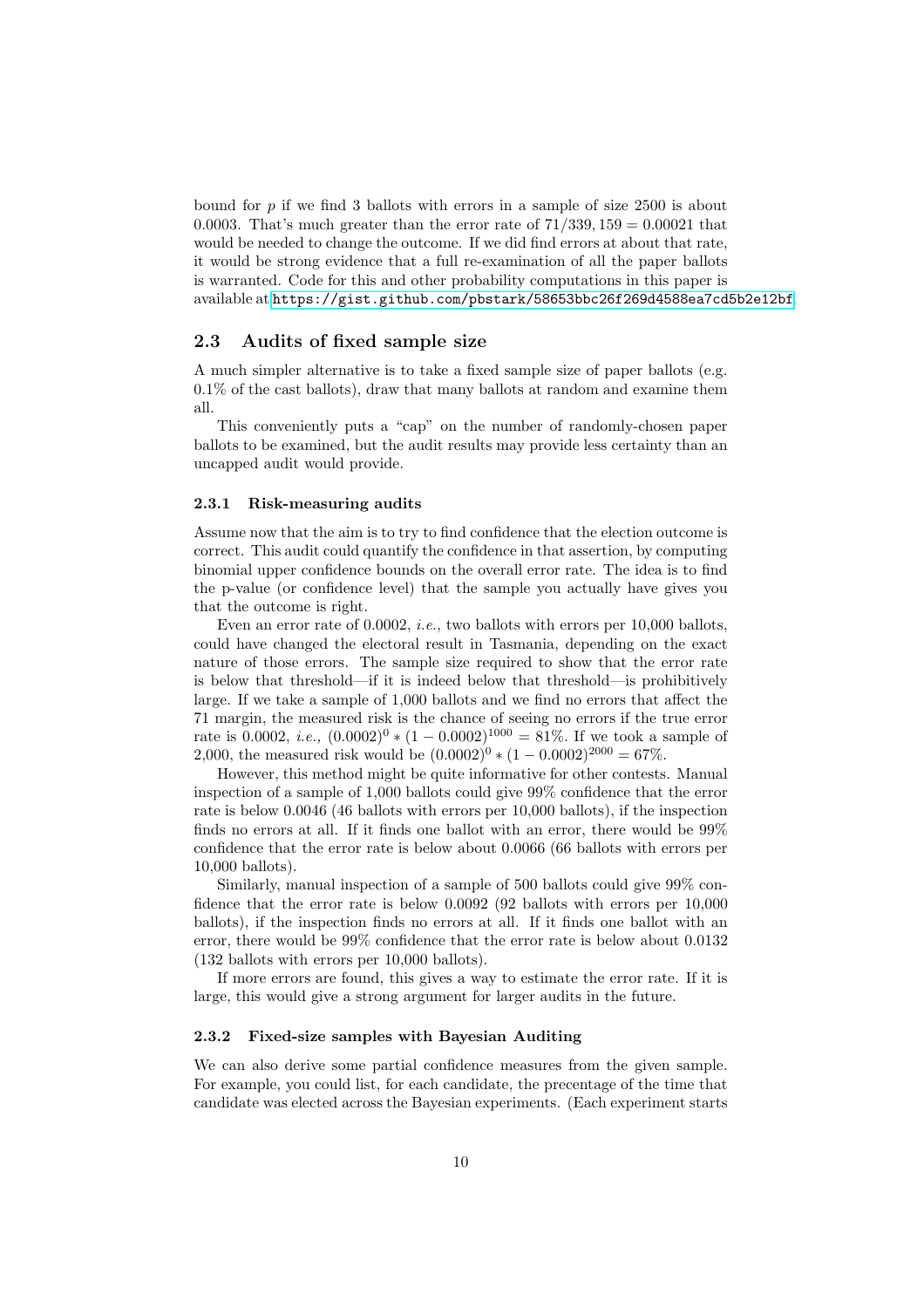bound for  $p$  if we find 3 ballots with errors in a sample of size 2500 is about 0.0003. That's much greater than the error rate of  $71/339$ ,  $159 = 0.00021$  that would be needed to change the outcome. If we did find errors at about that rate, it would be strong evidence that a full re-examination of all the paper ballots is warranted. Code for this and other probability computations in this paper is available at <https://gist.github.com/pbstark/58653bbc26f269d4588ea7cd5b2e12bf>.

### <span id="page-9-0"></span>2.3 Audits of fixed sample size

A much simpler alternative is to take a fixed sample size of paper ballots (e.g. 0.1% of the cast ballots), draw that many ballots at random and examine them all.

This conveniently puts a "cap" on the number of randomly-chosen paper ballots to be examined, but the audit results may provide less certainty than an uncapped audit would provide.

#### <span id="page-9-1"></span>2.3.1 Risk-measuring audits

Assume now that the aim is to try to find confidence that the election outcome is correct. This audit could quantify the confidence in that assertion, by computing binomial upper confidence bounds on the overall error rate. The idea is to find the p-value (or confidence level) that the sample you actually have gives you that the outcome is right.

Even an error rate of 0.0002, *i.e.*, two ballots with errors per 10,000 ballots, could have changed the electoral result in Tasmania, depending on the exact nature of those errors. The sample size required to show that the error rate is below that threshold—if it is indeed below that threshold—is prohibitively large. If we take a sample of 1,000 ballots and we find no errors that affect the 71 margin, the measured risk is the chance of seeing no errors if the true error rate is 0.0002, *i.e.*,  $(0.0002)^0 * (1 - 0.0002)^{1000} = 81\%$ . If we took a sample of 2,000, the measured risk would be  $(0.0002)^{0} * (1 - 0.0002)^{2000} = 67\%$ .

However, this method might be quite informative for other contests. Manual inspection of a sample of 1,000 ballots could give 99% confidence that the error rate is below 0.0046 (46 ballots with errors per 10,000 ballots), if the inspection finds no errors at all. If it finds one ballot with an error, there would be 99% confidence that the error rate is below about 0.0066 (66 ballots with errors per 10,000 ballots).

Similarly, manual inspection of a sample of 500 ballots could give 99% confidence that the error rate is below 0.0092 (92 ballots with errors per 10,000 ballots), if the inspection finds no errors at all. If it finds one ballot with an error, there would be 99% confidence that the error rate is below about 0.0132 (132 ballots with errors per 10,000 ballots).

If more errors are found, this gives a way to estimate the error rate. If it is large, this would give a strong argument for larger audits in the future.

### <span id="page-9-2"></span>2.3.2 Fixed-size samples with Bayesian Auditing

We can also derive some partial confidence measures from the given sample. For example, you could list, for each candidate, the precentage of the time that candidate was elected across the Bayesian experiments. (Each experiment starts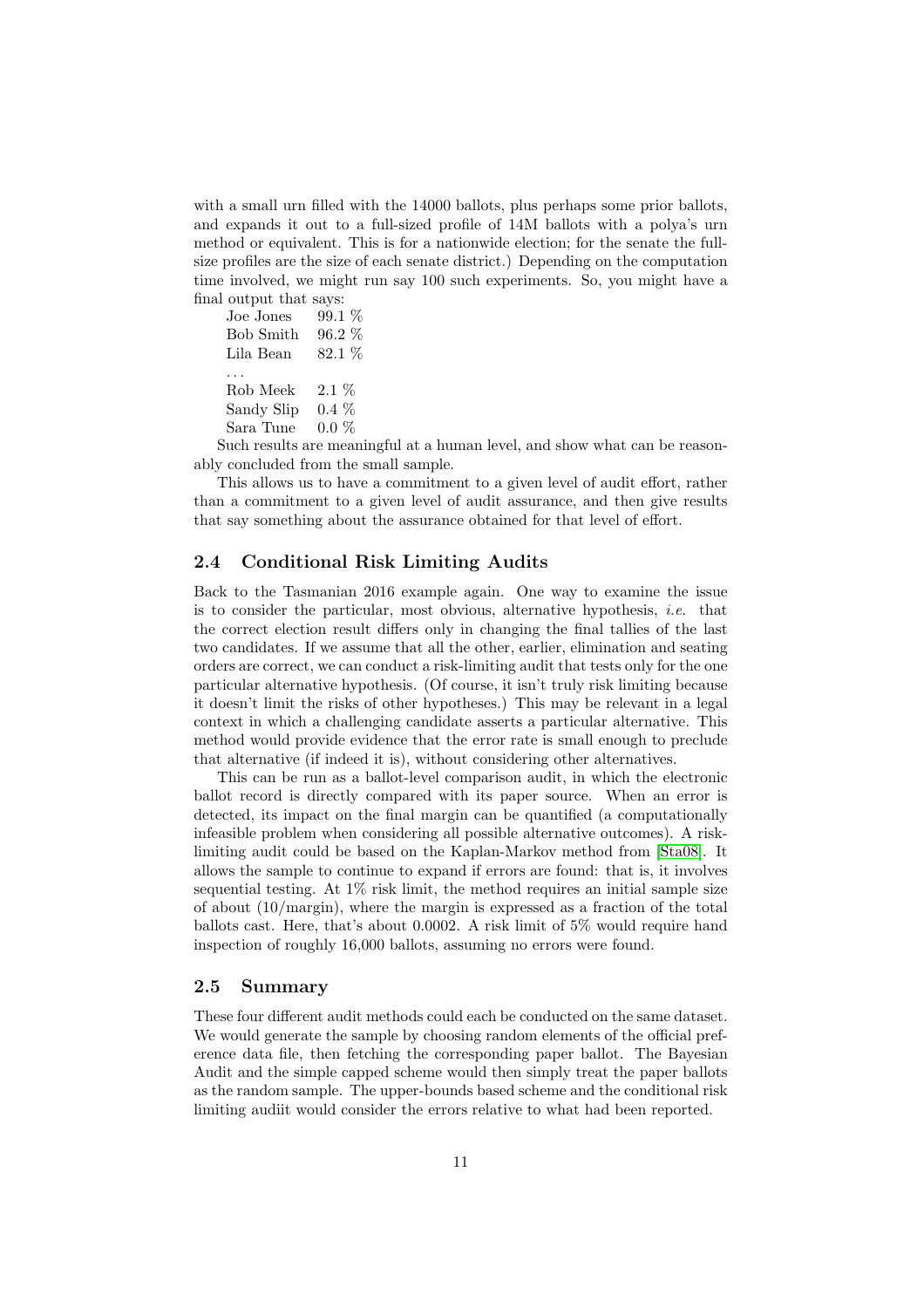with a small urn filled with the 14000 ballots, plus perhaps some prior ballots, and expands it out to a full-sized profile of 14M ballots with a polya's urn method or equivalent. This is for a nationwide election; for the senate the fullsize profiles are the size of each senate district.) Depending on the computation time involved, we might run say 100 such experiments. So, you might have a final output that says:<br>Joe Jones 99.1  $\%$ 

Joe Jones Bob Smith 96.2 % Lila Bean 82.1 % . . . Rob Meek 2.1 % Sandy Slip 0.4 % Sara Tune 0.0 %

Such results are meaningful at a human level, and show what can be reasonably concluded from the small sample.

This allows us to have a commitment to a given level of audit effort, rather than a commitment to a given level of audit assurance, and then give results that say something about the assurance obtained for that level of effort.

## <span id="page-10-0"></span>2.4 Conditional Risk Limiting Audits

Back to the Tasmanian 2016 example again. One way to examine the issue is to consider the particular, most obvious, alternative hypothesis, *i.e.* that the correct election result differs only in changing the final tallies of the last two candidates. If we assume that all the other, earlier, elimination and seating orders are correct, we can conduct a risk-limiting audit that tests only for the one particular alternative hypothesis. (Of course, it isn't truly risk limiting because it doesn't limit the risks of other hypotheses.) This may be relevant in a legal context in which a challenging candidate asserts a particular alternative. This method would provide evidence that the error rate is small enough to preclude that alternative (if indeed it is), without considering other alternatives.

This can be run as a ballot-level comparison audit, in which the electronic ballot record is directly compared with its paper source. When an error is detected, its impact on the final margin can be quantified (a computationally infeasible problem when considering all possible alternative outcomes). A risklimiting audit could be based on the Kaplan-Markov method from [\[Sta08\]](#page-13-1). It allows the sample to continue to expand if errors are found: that is, it involves sequential testing. At  $1\%$  risk limit, the method requires an initial sample size of about (10/margin), where the margin is expressed as a fraction of the total ballots cast. Here, that's about 0.0002. A risk limit of 5% would require hand inspection of roughly 16,000 ballots, assuming no errors were found.

### <span id="page-10-1"></span>2.5 Summary

These four different audit methods could each be conducted on the same dataset. We would generate the sample by choosing random elements of the official preference data file, then fetching the corresponding paper ballot. The Bayesian Audit and the simple capped scheme would then simply treat the paper ballots as the random sample. The upper-bounds based scheme and the conditional risk limiting audiit would consider the errors relative to what had been reported.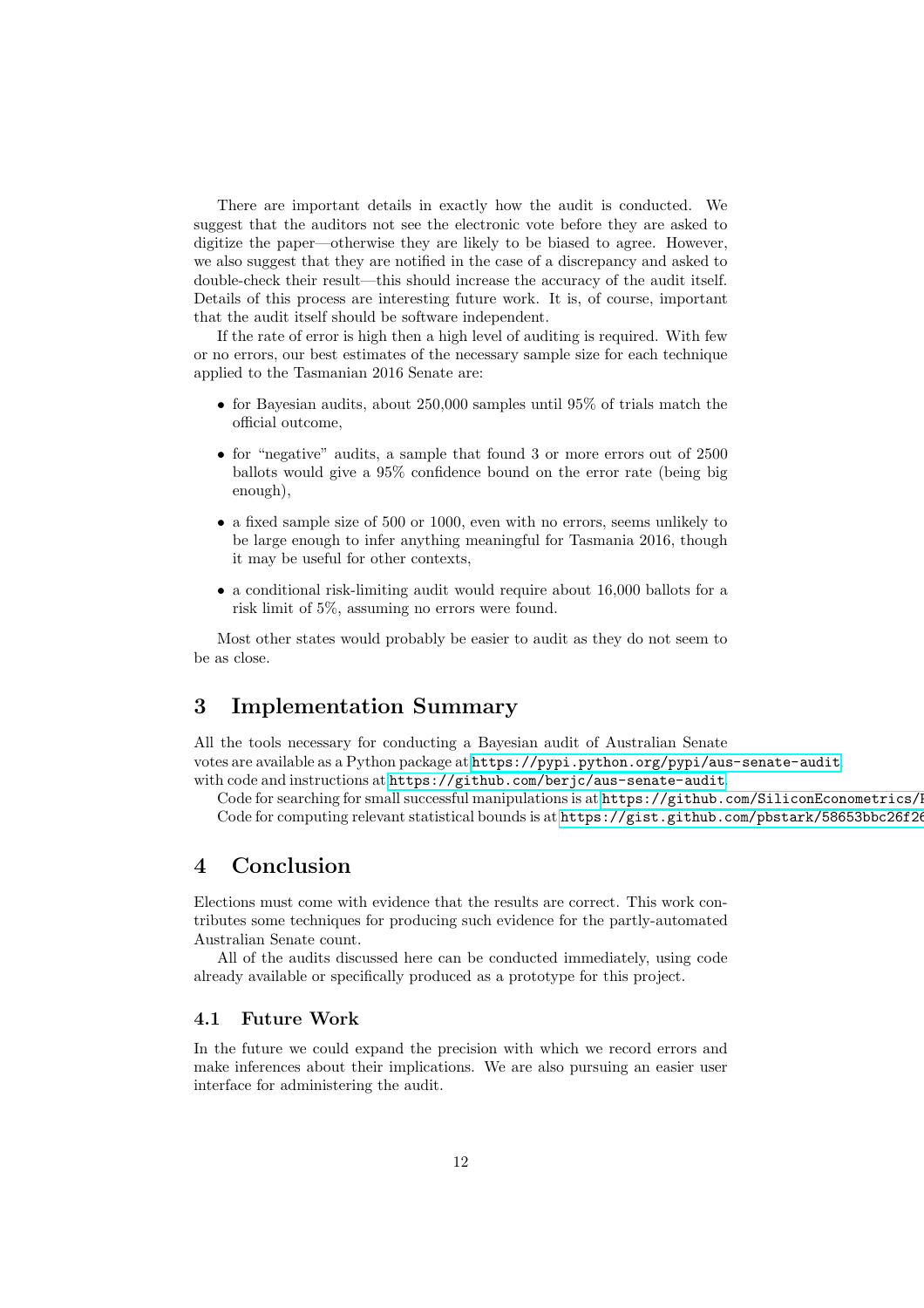There are important details in exactly how the audit is conducted. We suggest that the auditors not see the electronic vote before they are asked to digitize the paper—otherwise they are likely to be biased to agree. However, we also suggest that they are notified in the case of a discrepancy and asked to double-check their result—this should increase the accuracy of the audit itself. Details of this process are interesting future work. It is, of course, important that the audit itself should be software independent.

If the rate of error is high then a high level of auditing is required. With few or no errors, our best estimates of the necessary sample size for each technique applied to the Tasmanian 2016 Senate are:

- for Bayesian audits, about 250,000 samples until 95% of trials match the official outcome,
- for "negative" audits, a sample that found 3 or more errors out of 2500 ballots would give a 95% confidence bound on the error rate (being big enough),
- a fixed sample size of 500 or 1000, even with no errors, seems unlikely to be large enough to infer anything meaningful for Tasmania 2016, though it may be useful for other contexts,
- a conditional risk-limiting audit would require about 16,000 ballots for a risk limit of 5%, assuming no errors were found.

Most other states would probably be easier to audit as they do not seem to be as close.

# <span id="page-11-0"></span>3 Implementation Summary

All the tools necessary for conducting a Bayesian audit of Australian Senate votes are available as a Python package at <https://pypi.python.org/pypi/aus-senate-audit>, with code and instructions at <https://github.com/berjc/aus-senate-audit>.

Code for searching for small successful manipulations is at https://github.com/SiliconEconometrics/I Code for computing relevant statistical bounds is at https://gist.github.com/pbstark/58653bbc26f26

# <span id="page-11-1"></span>4 Conclusion

Elections must come with evidence that the results are correct. This work contributes some techniques for producing such evidence for the partly-automated Australian Senate count.

All of the audits discussed here can be conducted immediately, using code already available or specifically produced as a prototype for this project.

## <span id="page-11-2"></span>4.1 Future Work

In the future we could expand the precision with which we record errors and make inferences about their implications. We are also pursuing an easier user interface for administering the audit.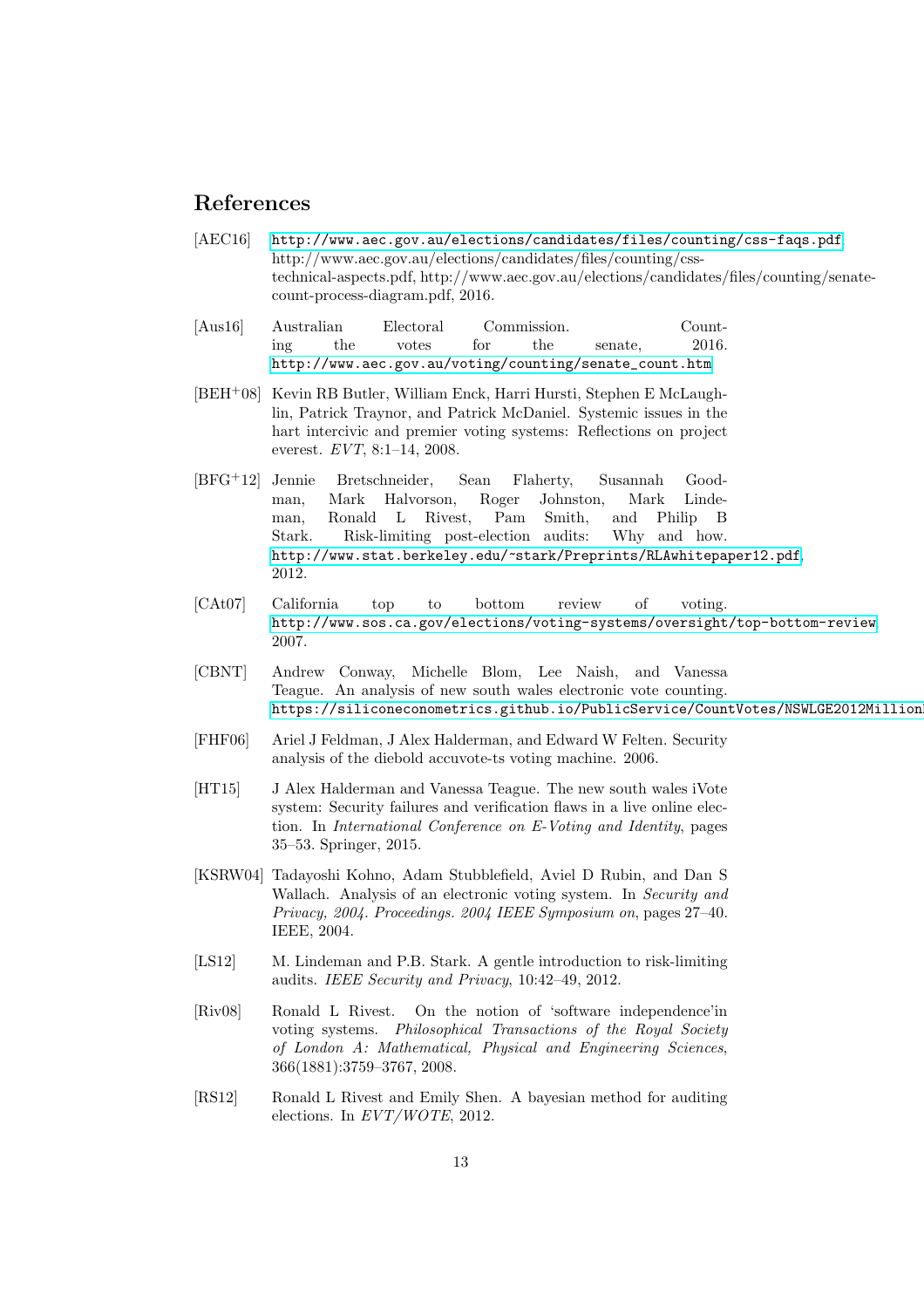# References

- <span id="page-12-10"></span>[AEC16] <http://www.aec.gov.au/elections/candidates/files/counting/css-faqs.pdf>. http://www.aec.gov.au/elections/candidates/files/counting/csstechnical-aspects.pdf, http://www.aec.gov.au/elections/candidates/files/counting/senatecount-process-diagram.pdf, 2016.
- <span id="page-12-0"></span>[Aus16] Australian Electoral Commission. Counting the votes for the senate, 2016. [http://www.aec.gov.au/voting/counting/senate\\_count.htm](http://www.aec.gov.au/voting/counting/senate_count.htm).
- <span id="page-12-4"></span>[BEH<sup>+</sup>08] Kevin RB Butler, William Enck, Harri Hursti, Stephen E McLaughlin, Patrick Traynor, and Patrick McDaniel. Systemic issues in the hart intercivic and premier voting systems: Reflections on project everest. *EVT*, 8:1–14, 2008.
- <span id="page-12-8"></span>[BFG<sup>+</sup>12] Jennie Bretschneider, Sean Flaherty, Susannah Goodman, Mark Halvorson, Roger Johnston, Mark Lindeman, Ronald L Rivest, Pam Smith, and Philip B Stark. Risk-limiting post-election audits: Why and how. <http://www.stat.berkeley.edu/~stark/Preprints/RLAwhitepaper12.pdf>, 2012.
- <span id="page-12-5"></span>[CAt07] California top to bottom review of voting. <http://www.sos.ca.gov/elections/voting-systems/oversight/top-bottom-review>, 2007.
- <span id="page-12-7"></span>[CBNT] Andrew Conway, Michelle Blom, Lee Naish, and Vanessa Teague. An analysis of new south wales electronic vote counting. https://siliconeconometrics.github.io/PublicService/CountVotes/NSWLGE2012Million
- <span id="page-12-2"></span>[FHF06] Ariel J Feldman, J Alex Halderman, and Edward W Felten. Security analysis of the diebold accuvote-ts voting machine. 2006.
- <span id="page-12-6"></span>[HT15] J Alex Halderman and Vanessa Teague. The new south wales iVote system: Security failures and verification flaws in a live online election. In *International Conference on E-Voting and Identity*, pages 35–53. Springer, 2015.
- <span id="page-12-3"></span>[KSRW04] Tadayoshi Kohno, Adam Stubblefield, Aviel D Rubin, and Dan S Wallach. Analysis of an electronic voting system. In *Security and Privacy, 2004. Proceedings. 2004 IEEE Symposium on*, pages 27–40. IEEE, 2004.
- <span id="page-12-11"></span>[LS12] M. Lindeman and P.B. Stark. A gentle introduction to risk-limiting audits. *IEEE Security and Privacy*, 10:42–49, 2012.
- <span id="page-12-1"></span>[Riv08] Ronald L Rivest. On the notion of 'software independence'in voting systems. *Philosophical Transactions of the Royal Society of London A: Mathematical, Physical and Engineering Sciences*, 366(1881):3759–3767, 2008.
- <span id="page-12-9"></span>[RS12] Ronald L Rivest and Emily Shen. A bayesian method for auditing elections. In *EVT/WOTE*, 2012.